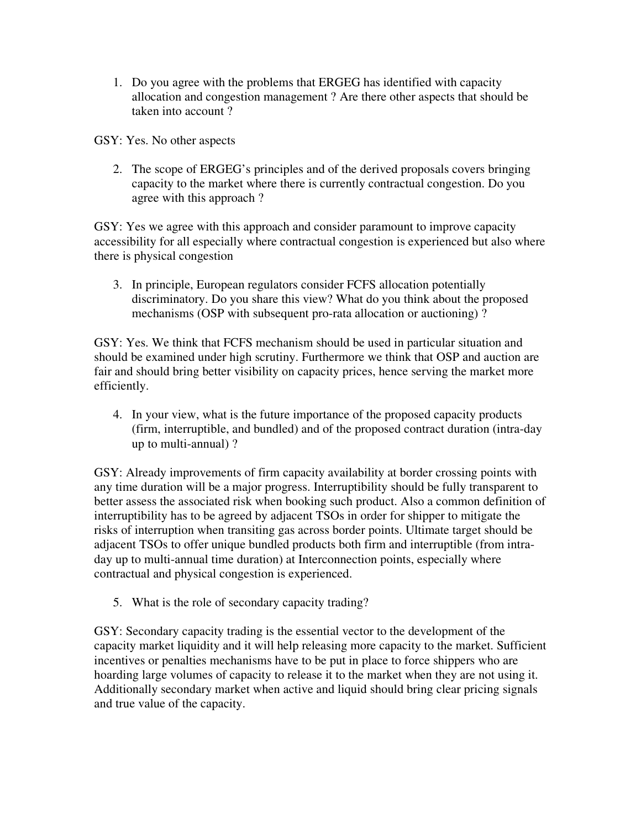1. Do you agree with the problems that ERGEG has identified with capacity allocation and congestion management ? Are there other aspects that should be taken into account ?

GSY: Yes. No other aspects

2. The scope of ERGEG's principles and of the derived proposals covers bringing capacity to the market where there is currently contractual congestion. Do you agree with this approach ?

GSY: Yes we agree with this approach and consider paramount to improve capacity accessibility for all especially where contractual congestion is experienced but also where there is physical congestion

3. In principle, European regulators consider FCFS allocation potentially discriminatory. Do you share this view? What do you think about the proposed mechanisms (OSP with subsequent pro-rata allocation or auctioning) ?

GSY: Yes. We think that FCFS mechanism should be used in particular situation and should be examined under high scrutiny. Furthermore we think that OSP and auction are fair and should bring better visibility on capacity prices, hence serving the market more efficiently.

4. In your view, what is the future importance of the proposed capacity products (firm, interruptible, and bundled) and of the proposed contract duration (intra-day up to multi-annual) ?

GSY: Already improvements of firm capacity availability at border crossing points with any time duration will be a major progress. Interruptibility should be fully transparent to better assess the associated risk when booking such product. Also a common definition of interruptibility has to be agreed by adjacent TSOs in order for shipper to mitigate the risks of interruption when transiting gas across border points. Ultimate target should be adjacent TSOs to offer unique bundled products both firm and interruptible (from intraday up to multi-annual time duration) at Interconnection points, especially where contractual and physical congestion is experienced.

5. What is the role of secondary capacity trading?

GSY: Secondary capacity trading is the essential vector to the development of the capacity market liquidity and it will help releasing more capacity to the market. Sufficient incentives or penalties mechanisms have to be put in place to force shippers who are hoarding large volumes of capacity to release it to the market when they are not using it. Additionally secondary market when active and liquid should bring clear pricing signals and true value of the capacity.